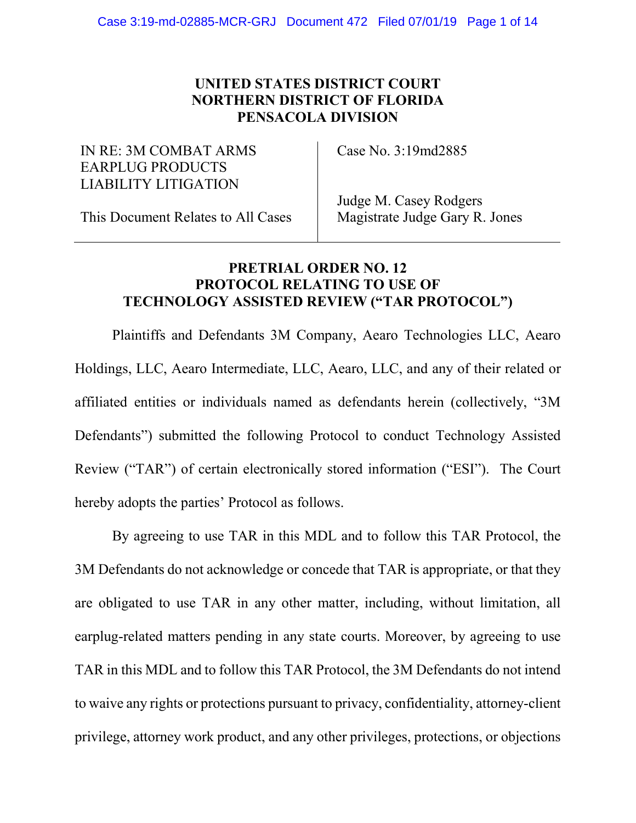### **UNITED STATES DISTRICT COURT NORTHERN DISTRICT OF FLORIDA PENSACOLA DIVISION**

### IN RE: 3M COMBAT ARMS EARPLUG PRODUCTS LIABILITY LITIGATION

Case No. 3:19md2885

This Document Relates to All Cases

Judge M. Casey Rodgers Magistrate Judge Gary R. Jones

## **PRETRIAL ORDER NO. 12 PROTOCOL RELATING TO USE OF TECHNOLOGY ASSISTED REVIEW ("TAR PROTOCOL")**

Plaintiffs and Defendants 3M Company, Aearo Technologies LLC, Aearo Holdings, LLC, Aearo Intermediate, LLC, Aearo, LLC, and any of their related or affiliated entities or individuals named as defendants herein (collectively, "3M Defendants") submitted the following Protocol to conduct Technology Assisted Review ("TAR") of certain electronically stored information ("ESI"). The Court hereby adopts the parties' Protocol as follows.

By agreeing to use TAR in this MDL and to follow this TAR Protocol, the 3M Defendants do not acknowledge or concede that TAR is appropriate, or that they are obligated to use TAR in any other matter, including, without limitation, all earplug-related matters pending in any state courts. Moreover, by agreeing to use TAR in this MDL and to follow this TAR Protocol, the 3M Defendants do not intend to waive any rights or protections pursuant to privacy, confidentiality, attorney-client privilege, attorney work product, and any other privileges, protections, or objections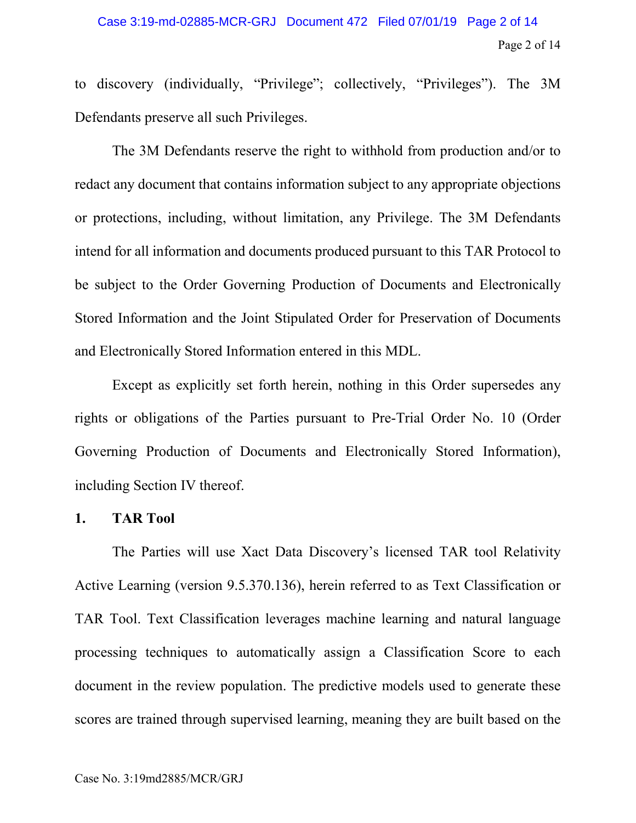## Page 2 of 14 Case 3:19-md-02885-MCR-GRJ Document 472 Filed 07/01/19 Page 2 of 14

to discovery (individually, "Privilege"; collectively, "Privileges"). The 3M Defendants preserve all such Privileges.

The 3M Defendants reserve the right to withhold from production and/or to redact any document that contains information subject to any appropriate objections or protections, including, without limitation, any Privilege. The 3M Defendants intend for all information and documents produced pursuant to this TAR Protocol to be subject to the Order Governing Production of Documents and Electronically Stored Information and the Joint Stipulated Order for Preservation of Documents and Electronically Stored Information entered in this MDL.

Except as explicitly set forth herein, nothing in this Order supersedes any rights or obligations of the Parties pursuant to Pre-Trial Order No. 10 (Order Governing Production of Documents and Electronically Stored Information), including Section IV thereof.

#### **1. TAR Tool**

The Parties will use Xact Data Discovery's licensed TAR tool Relativity Active Learning (version 9.5.370.136), herein referred to as Text Classification or TAR Tool. Text Classification leverages machine learning and natural language processing techniques to automatically assign a Classification Score to each document in the review population. The predictive models used to generate these scores are trained through supervised learning, meaning they are built based on the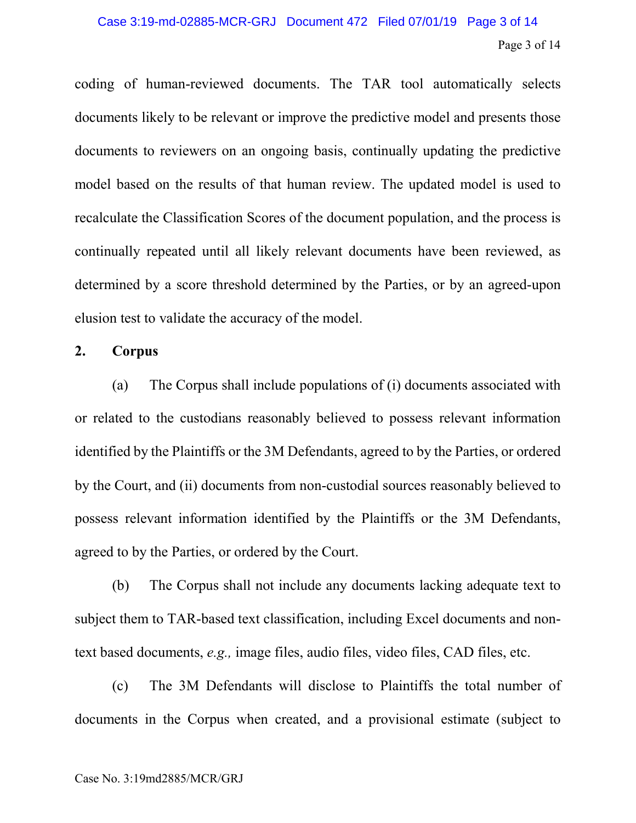# Page 3 of 14 Case 3:19-md-02885-MCR-GRJ Document 472 Filed 07/01/19 Page 3 of 14

coding of human-reviewed documents. The TAR tool automatically selects documents likely to be relevant or improve the predictive model and presents those documents to reviewers on an ongoing basis, continually updating the predictive model based on the results of that human review. The updated model is used to recalculate the Classification Scores of the document population, and the process is continually repeated until all likely relevant documents have been reviewed, as determined by a score threshold determined by the Parties, or by an agreed-upon elusion test to validate the accuracy of the model.

#### **2. Corpus**

(a) The Corpus shall include populations of (i) documents associated with or related to the custodians reasonably believed to possess relevant information identified by the Plaintiffs or the 3M Defendants, agreed to by the Parties, or ordered by the Court, and (ii) documents from non-custodial sources reasonably believed to possess relevant information identified by the Plaintiffs or the 3M Defendants, agreed to by the Parties, or ordered by the Court.

(b) The Corpus shall not include any documents lacking adequate text to subject them to TAR-based text classification, including Excel documents and nontext based documents, *e.g.,* image files, audio files, video files, CAD files, etc.

(c) The 3M Defendants will disclose to Plaintiffs the total number of documents in the Corpus when created, and a provisional estimate (subject to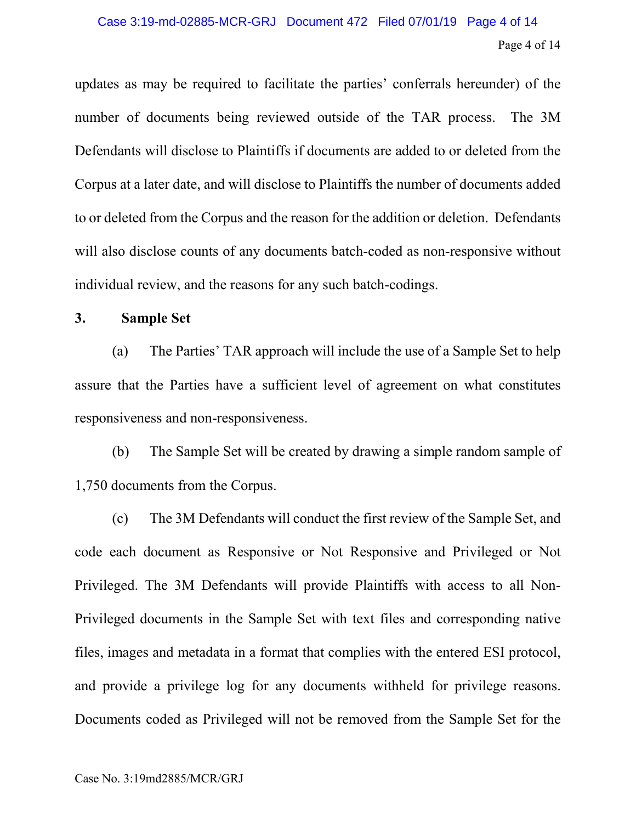# Page 4 of 14 Case 3:19-md-02885-MCR-GRJ Document 472 Filed 07/01/19 Page 4 of 14

updates as may be required to facilitate the parties' conferrals hereunder) of the number of documents being reviewed outside of the TAR process. The 3M Defendants will disclose to Plaintiffs if documents are added to or deleted from the Corpus at a later date, and will disclose to Plaintiffs the number of documents added to or deleted from the Corpus and the reason for the addition or deletion. Defendants will also disclose counts of any documents batch-coded as non-responsive without individual review, and the reasons for any such batch-codings.

#### **3. Sample Set**

(a) The Parties' TAR approach will include the use of a Sample Set to help assure that the Parties have a sufficient level of agreement on what constitutes responsiveness and non-responsiveness.

(b) The Sample Set will be created by drawing a simple random sample of 1,750 documents from the Corpus.

(c) The 3M Defendants will conduct the first review of the Sample Set, and code each document as Responsive or Not Responsive and Privileged or Not Privileged. The 3M Defendants will provide Plaintiffs with access to all Non-Privileged documents in the Sample Set with text files and corresponding native files, images and metadata in a format that complies with the entered ESI protocol, and provide a privilege log for any documents withheld for privilege reasons. Documents coded as Privileged will not be removed from the Sample Set for the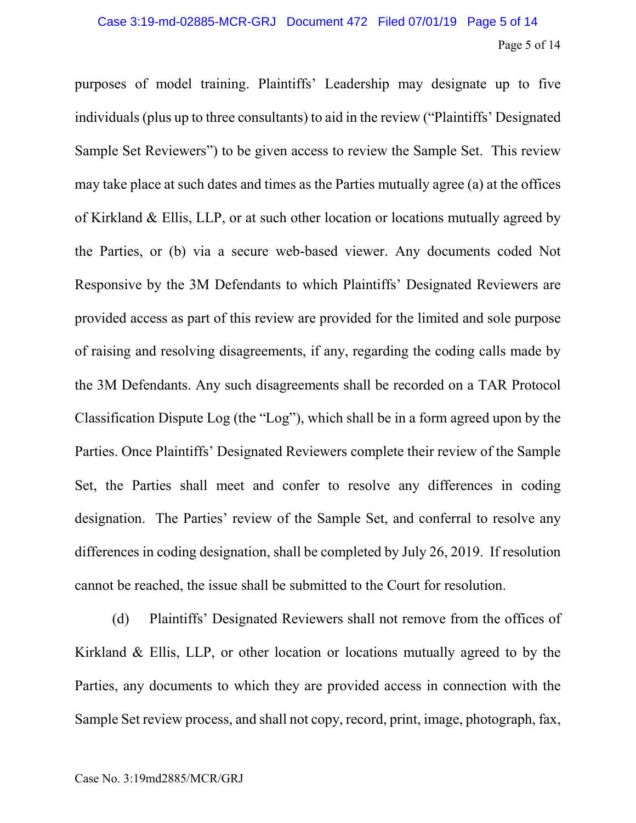purposes of model training. Plaintiffs' Leadership may designate up to five individuals (plus up to three consultants) to aid in the review ("Plaintiffs' Designated Sample Set Reviewers") to be given access to review the Sample Set. This review may take place at such dates and times as the Parties mutually agree (a) at the offices of Kirkland & Ellis, LLP, or at such other location or locations mutually agreed by the Parties, or (b) via a secure web-based viewer. Any documents coded Not Responsive by the 3M Defendants to which Plaintiffs' Designated Reviewers are provided access as part of this review are provided for the limited and sole purpose of raising and resolving disagreements, if any, regarding the coding calls made by the 3M Defendants. Any such disagreements shall be recorded on a TAR Protocol Classification Dispute Log (the "Log"), which shall be in a form agreed upon by the Parties. Once Plaintiffs' Designated Reviewers complete their review of the Sample Set, the Parties shall meet and confer to resolve any differences in coding designation. The Parties' review of the Sample Set, and conferral to resolve any differences in coding designation, shall be completed by July 26, 2019. If resolution cannot be reached, the issue shall be submitted to the Court for resolution.

(d) Plaintiffs' Designated Reviewers shall not remove from the offices of Kirkland & Ellis, LLP, or other location or locations mutually agreed to by the Parties, any documents to which they are provided access in connection with the Sample Set review process, and shall not copy, record, print, image, photograph, fax,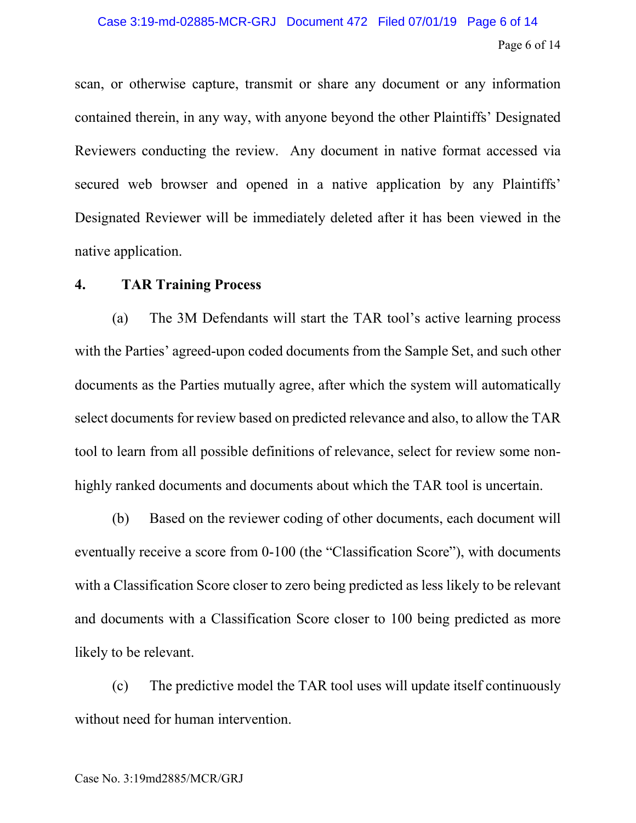# Page 6 of 14 Case 3:19-md-02885-MCR-GRJ Document 472 Filed 07/01/19 Page 6 of 14

scan, or otherwise capture, transmit or share any document or any information contained therein, in any way, with anyone beyond the other Plaintiffs' Designated Reviewers conducting the review. Any document in native format accessed via secured web browser and opened in a native application by any Plaintiffs' Designated Reviewer will be immediately deleted after it has been viewed in the native application.

### **4. TAR Training Process**

(a) The 3M Defendants will start the TAR tool's active learning process with the Parties' agreed-upon coded documents from the Sample Set, and such other documents as the Parties mutually agree, after which the system will automatically select documents for review based on predicted relevance and also, to allow the TAR tool to learn from all possible definitions of relevance, select for review some nonhighly ranked documents and documents about which the TAR tool is uncertain.

(b) Based on the reviewer coding of other documents, each document will eventually receive a score from 0-100 (the "Classification Score"), with documents with a Classification Score closer to zero being predicted as less likely to be relevant and documents with a Classification Score closer to 100 being predicted as more likely to be relevant.

(c) The predictive model the TAR tool uses will update itself continuously without need for human intervention.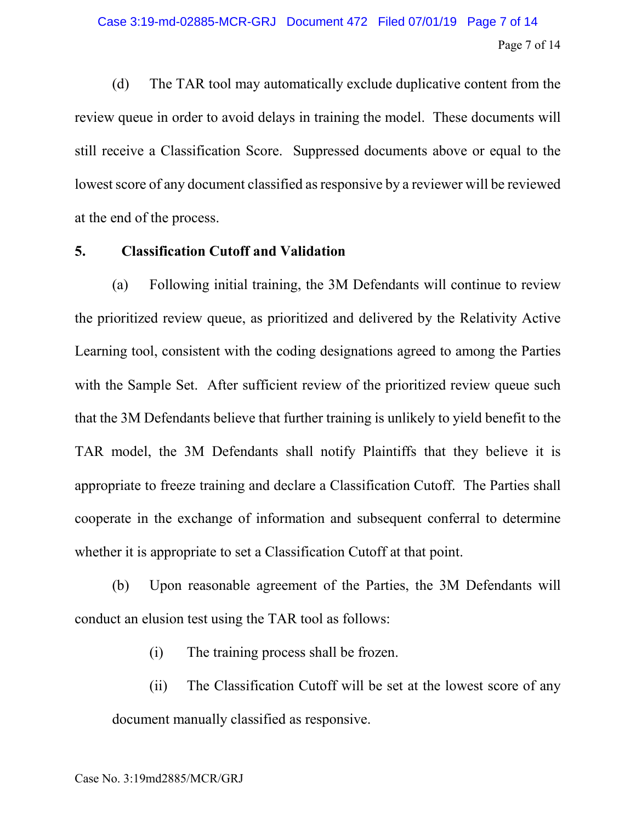(d) The TAR tool may automatically exclude duplicative content from the review queue in order to avoid delays in training the model. These documents will still receive a Classification Score. Suppressed documents above or equal to the lowest score of any document classified as responsive by a reviewer will be reviewed at the end of the process.

### **5. Classification Cutoff and Validation**

(a) Following initial training, the 3M Defendants will continue to review the prioritized review queue, as prioritized and delivered by the Relativity Active Learning tool, consistent with the coding designations agreed to among the Parties with the Sample Set. After sufficient review of the prioritized review queue such that the 3M Defendants believe that further training is unlikely to yield benefit to the TAR model, the 3M Defendants shall notify Plaintiffs that they believe it is appropriate to freeze training and declare a Classification Cutoff. The Parties shall cooperate in the exchange of information and subsequent conferral to determine whether it is appropriate to set a Classification Cutoff at that point.

(b) Upon reasonable agreement of the Parties, the 3M Defendants will conduct an elusion test using the TAR tool as follows:

(i) The training process shall be frozen.

(ii) The Classification Cutoff will be set at the lowest score of any document manually classified as responsive.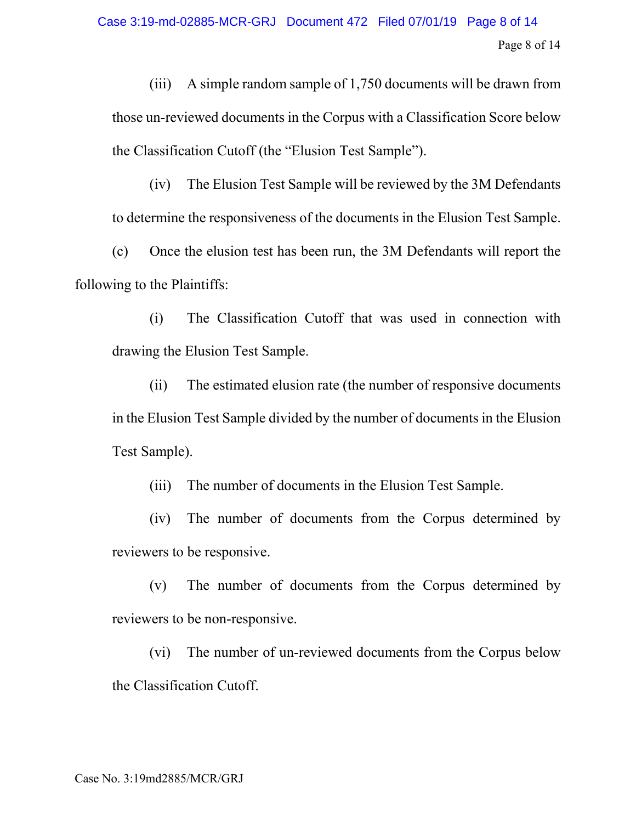(iii) A simple random sample of 1,750 documents will be drawn from those un-reviewed documents in the Corpus with a Classification Score below the Classification Cutoff (the "Elusion Test Sample").

(iv) The Elusion Test Sample will be reviewed by the 3M Defendants to determine the responsiveness of the documents in the Elusion Test Sample.

(c) Once the elusion test has been run, the 3M Defendants will report the following to the Plaintiffs:

(i) The Classification Cutoff that was used in connection with drawing the Elusion Test Sample.

(ii) The estimated elusion rate (the number of responsive documents in the Elusion Test Sample divided by the number of documents in the Elusion Test Sample).

(iii) The number of documents in the Elusion Test Sample.

(iv) The number of documents from the Corpus determined by reviewers to be responsive.

(v) The number of documents from the Corpus determined by reviewers to be non-responsive.

(vi) The number of un-reviewed documents from the Corpus below the Classification Cutoff.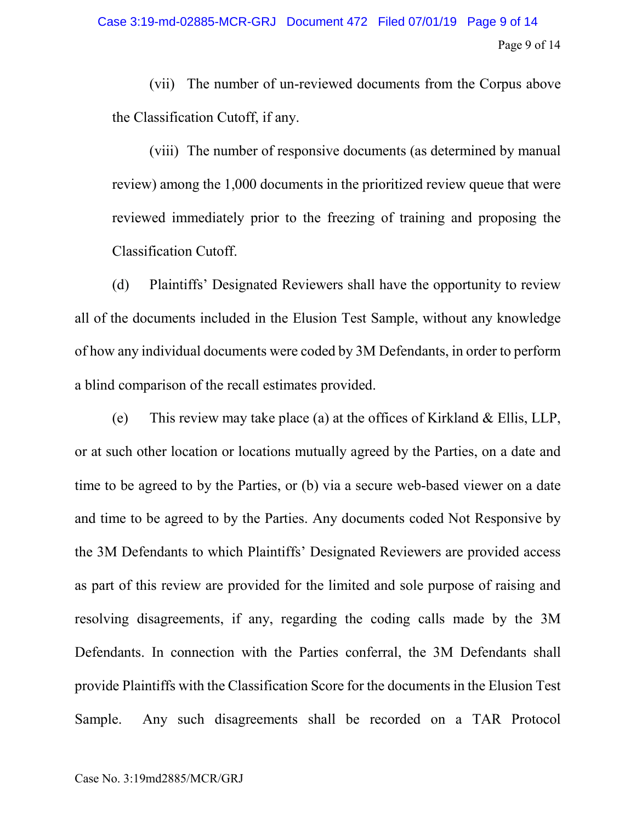(vii) The number of un-reviewed documents from the Corpus above the Classification Cutoff, if any.

(viii) The number of responsive documents (as determined by manual review) among the 1,000 documents in the prioritized review queue that were reviewed immediately prior to the freezing of training and proposing the Classification Cutoff.

(d) Plaintiffs' Designated Reviewers shall have the opportunity to review all of the documents included in the Elusion Test Sample, without any knowledge of how any individual documents were coded by 3M Defendants, in order to perform a blind comparison of the recall estimates provided.

(e) This review may take place (a) at the offices of Kirkland & Ellis, LLP, or at such other location or locations mutually agreed by the Parties, on a date and time to be agreed to by the Parties, or (b) via a secure web-based viewer on a date and time to be agreed to by the Parties. Any documents coded Not Responsive by the 3M Defendants to which Plaintiffs' Designated Reviewers are provided access as part of this review are provided for the limited and sole purpose of raising and resolving disagreements, if any, regarding the coding calls made by the 3M Defendants. In connection with the Parties conferral, the 3M Defendants shall provide Plaintiffs with the Classification Score for the documents in the Elusion Test Sample. Any such disagreements shall be recorded on a TAR Protocol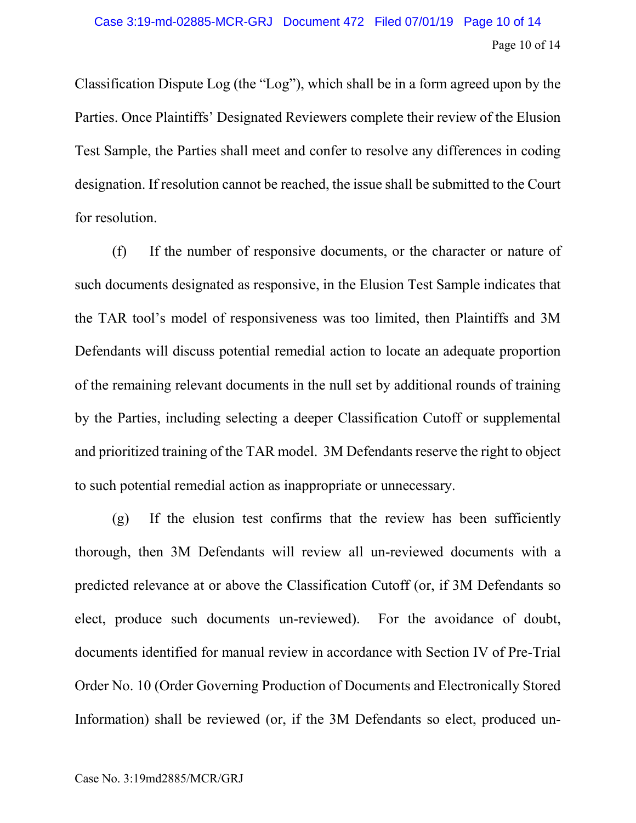Classification Dispute Log (the "Log"), which shall be in a form agreed upon by the Parties. Once Plaintiffs' Designated Reviewers complete their review of the Elusion Test Sample, the Parties shall meet and confer to resolve any differences in coding designation. If resolution cannot be reached, the issue shall be submitted to the Court for resolution.

(f) If the number of responsive documents, or the character or nature of such documents designated as responsive, in the Elusion Test Sample indicates that the TAR tool's model of responsiveness was too limited, then Plaintiffs and 3M Defendants will discuss potential remedial action to locate an adequate proportion of the remaining relevant documents in the null set by additional rounds of training by the Parties, including selecting a deeper Classification Cutoff or supplemental and prioritized training of the TAR model. 3M Defendants reserve the right to object to such potential remedial action as inappropriate or unnecessary.

(g) If the elusion test confirms that the review has been sufficiently thorough, then 3M Defendants will review all un-reviewed documents with a predicted relevance at or above the Classification Cutoff (or, if 3M Defendants so elect, produce such documents un-reviewed). For the avoidance of doubt, documents identified for manual review in accordance with Section IV of Pre-Trial Order No. 10 (Order Governing Production of Documents and Electronically Stored Information) shall be reviewed (or, if the 3M Defendants so elect, produced un-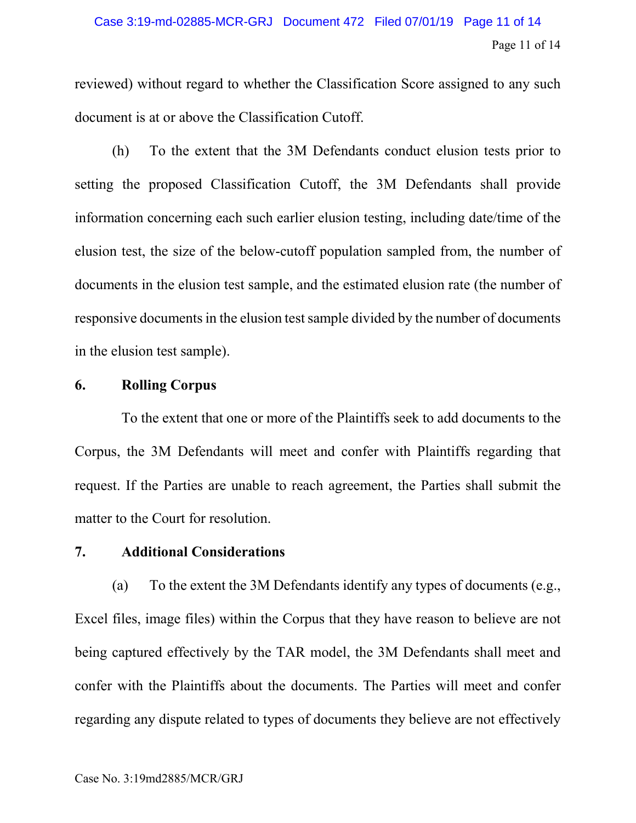# Page 11 of 14 Case 3:19-md-02885-MCR-GRJ Document 472 Filed 07/01/19 Page 11 of 14

reviewed) without regard to whether the Classification Score assigned to any such document is at or above the Classification Cutoff.

(h) To the extent that the 3M Defendants conduct elusion tests prior to setting the proposed Classification Cutoff, the 3M Defendants shall provide information concerning each such earlier elusion testing, including date/time of the elusion test, the size of the below-cutoff population sampled from, the number of documents in the elusion test sample, and the estimated elusion rate (the number of responsive documents in the elusion test sample divided by the number of documents in the elusion test sample).

#### **6. Rolling Corpus**

To the extent that one or more of the Plaintiffs seek to add documents to the Corpus, the 3M Defendants will meet and confer with Plaintiffs regarding that request. If the Parties are unable to reach agreement, the Parties shall submit the matter to the Court for resolution.

#### **7. Additional Considerations**

(a) To the extent the 3M Defendants identify any types of documents (e.g., Excel files, image files) within the Corpus that they have reason to believe are not being captured effectively by the TAR model, the 3M Defendants shall meet and confer with the Plaintiffs about the documents. The Parties will meet and confer regarding any dispute related to types of documents they believe are not effectively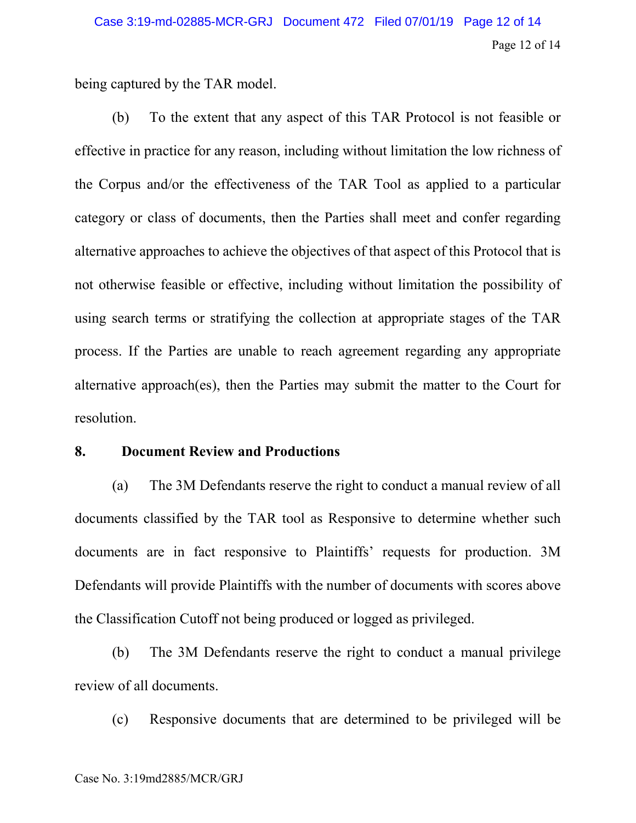being captured by the TAR model.

(b) To the extent that any aspect of this TAR Protocol is not feasible or effective in practice for any reason, including without limitation the low richness of the Corpus and/or the effectiveness of the TAR Tool as applied to a particular category or class of documents, then the Parties shall meet and confer regarding alternative approaches to achieve the objectives of that aspect of this Protocol that is not otherwise feasible or effective, including without limitation the possibility of using search terms or stratifying the collection at appropriate stages of the TAR process. If the Parties are unable to reach agreement regarding any appropriate alternative approach(es), then the Parties may submit the matter to the Court for resolution.

#### **8. Document Review and Productions**

(a) The 3M Defendants reserve the right to conduct a manual review of all documents classified by the TAR tool as Responsive to determine whether such documents are in fact responsive to Plaintiffs' requests for production. 3M Defendants will provide Plaintiffs with the number of documents with scores above the Classification Cutoff not being produced or logged as privileged.

(b) The 3M Defendants reserve the right to conduct a manual privilege review of all documents.

(c) Responsive documents that are determined to be privileged will be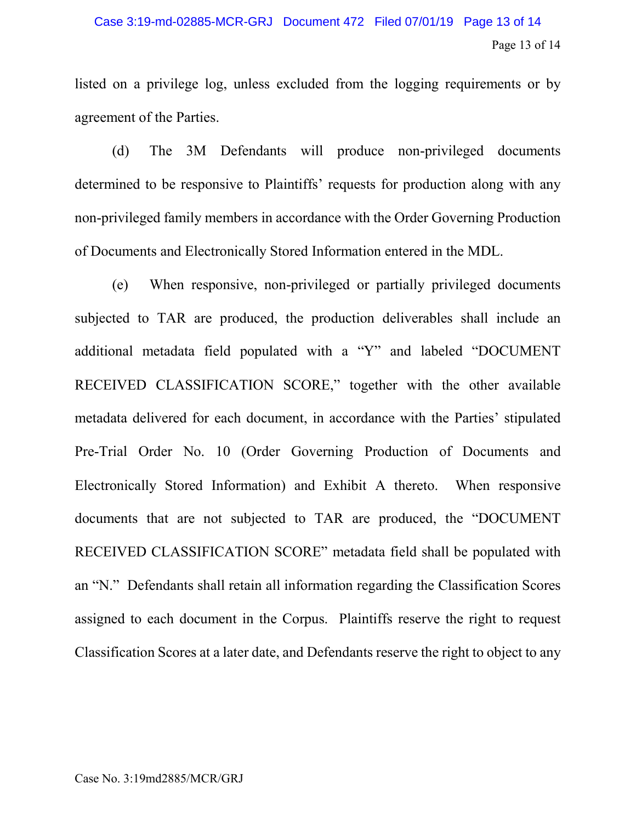# Page 13 of 14 Case 3:19-md-02885-MCR-GRJ Document 472 Filed 07/01/19 Page 13 of 14

listed on a privilege log, unless excluded from the logging requirements or by agreement of the Parties.

(d) The 3M Defendants will produce non-privileged documents determined to be responsive to Plaintiffs' requests for production along with any non-privileged family members in accordance with the Order Governing Production of Documents and Electronically Stored Information entered in the MDL.

(e) When responsive, non-privileged or partially privileged documents subjected to TAR are produced, the production deliverables shall include an additional metadata field populated with a "Y" and labeled "DOCUMENT RECEIVED CLASSIFICATION SCORE," together with the other available metadata delivered for each document, in accordance with the Parties' stipulated Pre-Trial Order No. 10 (Order Governing Production of Documents and Electronically Stored Information) and Exhibit A thereto. When responsive documents that are not subjected to TAR are produced, the "DOCUMENT RECEIVED CLASSIFICATION SCORE" metadata field shall be populated with an "N." Defendants shall retain all information regarding the Classification Scores assigned to each document in the Corpus. Plaintiffs reserve the right to request Classification Scores at a later date, and Defendants reserve the right to object to any